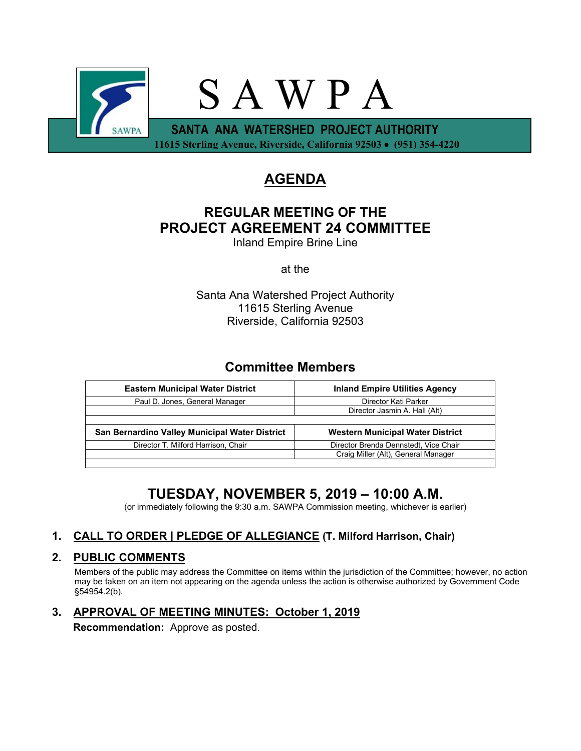

 **11615 Sterling Avenue, Riverside, California 92503** • **(951) 354-4220**

# **AGENDA**

# **REGULAR MEETING OF THE PROJECT AGREEMENT 24 COMMITTEE**

Inland Empire Brine Line

at the

Santa Ana Watershed Project Authority 11615 Sterling Avenue Riverside, California 92503

### **Committee Members**

| <b>Eastern Municipal Water District</b>        | <b>Inland Empire Utilities Agency</b> |
|------------------------------------------------|---------------------------------------|
| Paul D. Jones, General Manager                 | Director Kati Parker                  |
|                                                | Director Jasmin A. Hall (Alt)         |
|                                                |                                       |
|                                                |                                       |
| San Bernardino Valley Municipal Water District | Western Municipal Water District      |
| Director T. Milford Harrison, Chair            | Director Brenda Dennstedt, Vice Chair |
|                                                | Craig Miller (Alt), General Manager   |

## **TUESDAY, NOVEMBER 5, 2019 – 10:00 A.M.**

(or immediately following the 9:30 a.m. SAWPA Commission meeting, whichever is earlier)

### **1. CALL TO ORDER | PLEDGE OF ALLEGIANCE (T. Milford Harrison, Chair)**

### **2. PUBLIC COMMENTS**

Members of the public may address the Committee on items within the jurisdiction of the Committee; however, no action may be taken on an item not appearing on the agenda unless the action is otherwise authorized by Government Code §54954.2(b).

## **3. APPROVAL OF MEETING MINUTES: October 1, 2019**

**Recommendation:** Approve as posted.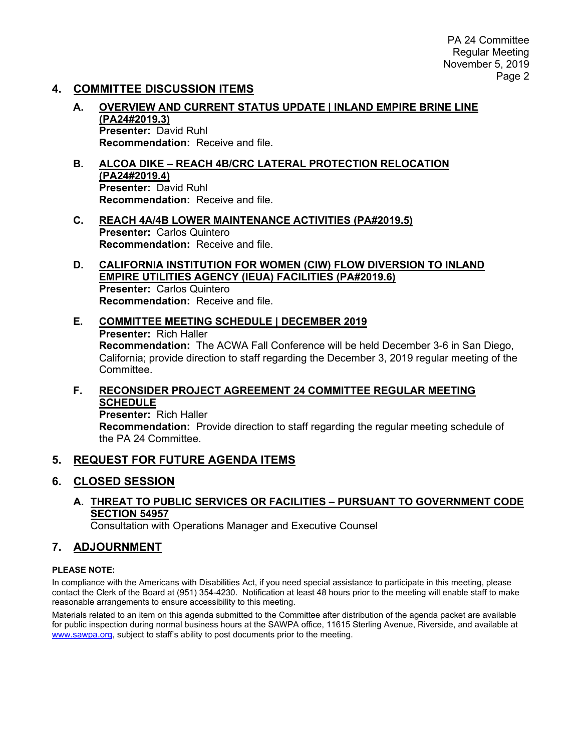PA 24 Committee Regular Meeting November 5, 2019 Page 2

### **4. COMMITTEE DISCUSSION ITEMS**

- **A. OVERVIEW AND CURRENT STATUS UPDATE | INLAND EMPIRE BRINE LINE (PA24#2019.3) Presenter:** David Ruhl **Recommendation:** Receive and file.
- **B. ALCOA DIKE – REACH 4B/CRC LATERAL PROTECTION RELOCATION (PA24#2019.4) Presenter:** David Ruhl **Recommendation:** Receive and file.
- **C. REACH 4A/4B LOWER MAINTENANCE ACTIVITIES (PA#2019.5) Presenter:** Carlos Quintero **Recommendation:** Receive and file.
- **D. CALIFORNIA INSTITUTION FOR WOMEN (CIW) FLOW DIVERSION TO INLAND EMPIRE UTILITIES AGENCY (IEUA) FACILITIES (PA#2019.6) Presenter:** Carlos Quintero **Recommendation:** Receive and file.
- **E. COMMITTEE MEETING SCHEDULE | DECEMBER 2019 Presenter:** Rich Haller **Recommendation:** The ACWA Fall Conference will be held December 3-6 in San Diego, California; provide direction to staff regarding the December 3, 2019 regular meeting of the Committee.
- **F. RECONSIDER PROJECT AGREEMENT 24 COMMITTEE REGULAR MEETING SCHEDULE**

**Presenter:** Rich Haller **Recommendation:** Provide direction to staff regarding the regular meeting schedule of the PA 24 Committee.

#### **5. REQUEST FOR FUTURE AGENDA ITEMS**

#### **6. CLOSED SESSION**

**A. THREAT TO PUBLIC SERVICES OR FACILITIES – PURSUANT TO GOVERNMENT CODE SECTION 54957**

Consultation with Operations Manager and Executive Counsel

#### **7. ADJOURNMENT**

#### **PLEASE NOTE:**

In compliance with the Americans with Disabilities Act, if you need special assistance to participate in this meeting, please contact the Clerk of the Board at (951) 354-4230. Notification at least 48 hours prior to the meeting will enable staff to make reasonable arrangements to ensure accessibility to this meeting.

Materials related to an item on this agenda submitted to the Committee after distribution of the agenda packet are available for public inspection during normal business hours at the SAWPA office, 11615 Sterling Avenue, Riverside, and available at [www.sawpa.org,](http://www.sawpa.org/) subject to staff's ability to post documents prior to the meeting.